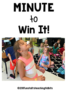## MINUTE  $+o$ Win It!



©2011Tunstall'steachingtidbits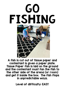



A fish is cut out of tissue paper and contestant is given a paper plate. Tissue Paper fish is laid on the ground and the contestant must fan the fish to the other side of the arena (or room) and get it inside the box. The fish flops in unpredictable ways.

Level of difficulty: EASY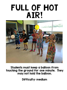### FULL OF HOT AIR!



Students must keep a balloon from touching the ground for one minute. They may not hold the balloon.

Difficulty: medium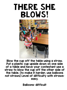#### There she blows!



Blow the cup off the table using a straw. Put a plastic cup upside down on one side of a table and have your contestant use a straw to blow the cup off the other side of the table. (to make it harder, use balloons not straws) Level of difficulty with straws: easy.

Balloons: difficult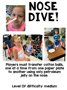

# Nose DIVE!



Players must transfer cotton balls, one at a time from one paper plate to another using only petroleum jelly on the nose.

Level Of difficulty: medium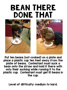#### Bean there done that





Put ten beans (not cooked) on a plate and place a plastic cup ten feet away from the plate of beans. Contestant must suck a bean onto the straw and hold it there with only their sucking while running it to the plastic cup. Contestant must get 10 beans in the cup.

Level of difficulty: medium to hard.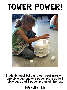## Tower Power!



Students must build a tower beginning with one dixie cup and one paper plate up to 5 dixie cups and 5 paper plates at the top.

Difficulty: high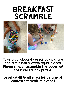#### Breakfast SCRAMBLE





Take a cardboard cereal box picture and cut it into sixteen equal pieces. Players must assemble the cover of their cereal box puzzle.

Level of difficulty: varies by age of contestant medium overall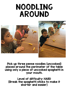#### Noodling Around



Pick up three penne noodles (uncooked) placed around the perimeter of the table using only a piece of uncooked spaghetti in your mouth.

Level of difficulty: HARD (Break the spaghetti sticks to make it shorter and easier)